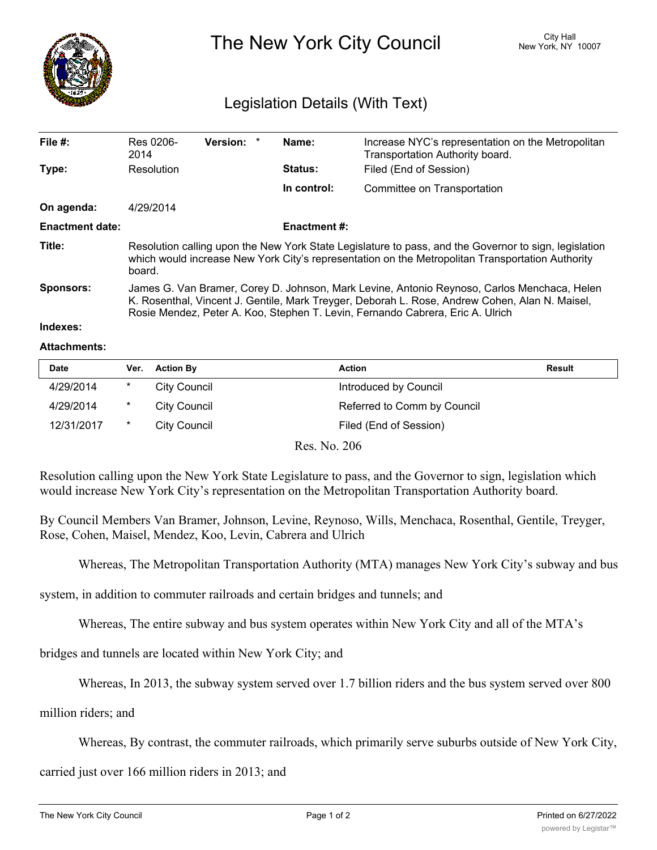

## The New York City Council New York, NY 10007

## Legislation Details (With Text)

| File $#$ :             | Res 0206-<br>2014                                                                                                                                                                                                                                                               | Version: * |  | Name:               | Increase NYC's representation on the Metropolitan<br>Transportation Authority board. |  |  |
|------------------------|---------------------------------------------------------------------------------------------------------------------------------------------------------------------------------------------------------------------------------------------------------------------------------|------------|--|---------------------|--------------------------------------------------------------------------------------|--|--|
| Type:                  | Resolution                                                                                                                                                                                                                                                                      |            |  | <b>Status:</b>      | Filed (End of Session)                                                               |  |  |
|                        |                                                                                                                                                                                                                                                                                 |            |  | In control:         | Committee on Transportation                                                          |  |  |
| On agenda:             | 4/29/2014                                                                                                                                                                                                                                                                       |            |  |                     |                                                                                      |  |  |
| <b>Enactment date:</b> |                                                                                                                                                                                                                                                                                 |            |  | <b>Enactment #:</b> |                                                                                      |  |  |
| Title:                 | Resolution calling upon the New York State Legislature to pass, and the Governor to sign, legislation<br>which would increase New York City's representation on the Metropolitan Transportation Authority<br>board.                                                             |            |  |                     |                                                                                      |  |  |
| Sponsors:              | James G. Van Bramer, Corey D. Johnson, Mark Levine, Antonio Reynoso, Carlos Menchaca, Helen<br>K. Rosenthal, Vincent J. Gentile, Mark Treyger, Deborah L. Rose, Andrew Cohen, Alan N. Maisel,<br>Rosie Mendez, Peter A. Koo, Stephen T. Levin, Fernando Cabrera, Eric A. Ulrich |            |  |                     |                                                                                      |  |  |
| والمتموع والمتمار      |                                                                                                                                                                                                                                                                                 |            |  |                     |                                                                                      |  |  |

## **Indexes:**

## **Attachments:**

| <b>Date</b> | Ver. | <b>Action By</b> | <b>Action</b>               | Result |
|-------------|------|------------------|-----------------------------|--------|
| 4/29/2014   | *    | City Council     | Introduced by Council       |        |
| 4/29/2014   | *    | City Council     | Referred to Comm by Council |        |
| 12/31/2017  |      | City Council     | Filed (End of Session)      |        |

Res. No. 206

Resolution calling upon the New York State Legislature to pass, and the Governor to sign, legislation which would increase New York City's representation on the Metropolitan Transportation Authority board.

By Council Members Van Bramer, Johnson, Levine, Reynoso, Wills, Menchaca, Rosenthal, Gentile, Treyger, Rose, Cohen, Maisel, Mendez, Koo, Levin, Cabrera and Ulrich

Whereas, The Metropolitan Transportation Authority (MTA) manages New York City's subway and bus

system, in addition to commuter railroads and certain bridges and tunnels; and

Whereas, The entire subway and bus system operates within New York City and all of the MTA's

bridges and tunnels are located within New York City; and

Whereas, In 2013, the subway system served over 1.7 billion riders and the bus system served over 800

million riders; and

Whereas, By contrast, the commuter railroads, which primarily serve suburbs outside of New York City,

carried just over 166 million riders in 2013; and